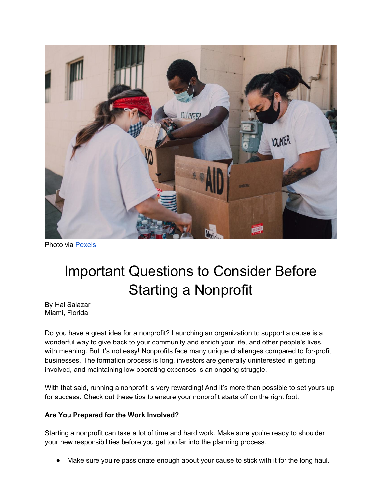

Photo via [Pexels](https://www.pexels.com/photo/man-love-people-woman-6646974/)

## Important Questions to Consider Before Starting a Nonprofit

By Hal Salazar Miami, Florida

Do you have a great idea for a nonprofit? Launching an organization to support a cause is a wonderful way to give back to your community and enrich your life, and other people's lives, with meaning. But it's not easy! Nonprofits face many unique challenges compared to for-profit businesses. The formation process is long, investors are generally uninterested in getting involved, and maintaining low operating expenses is an ongoing struggle.

With that said, running a nonprofit is very rewarding! And it's more than possible to set yours up for success. Check out these tips to ensure your nonprofit starts off on the right foot.

## **Are You Prepared for the Work Involved?**

Starting a nonprofit can take a lot of time and hard work. Make sure you're ready to shoulder your new responsibilities before you get too far into the planning process.

Make sure you're passionate enough about your cause to stick with it for the long haul.